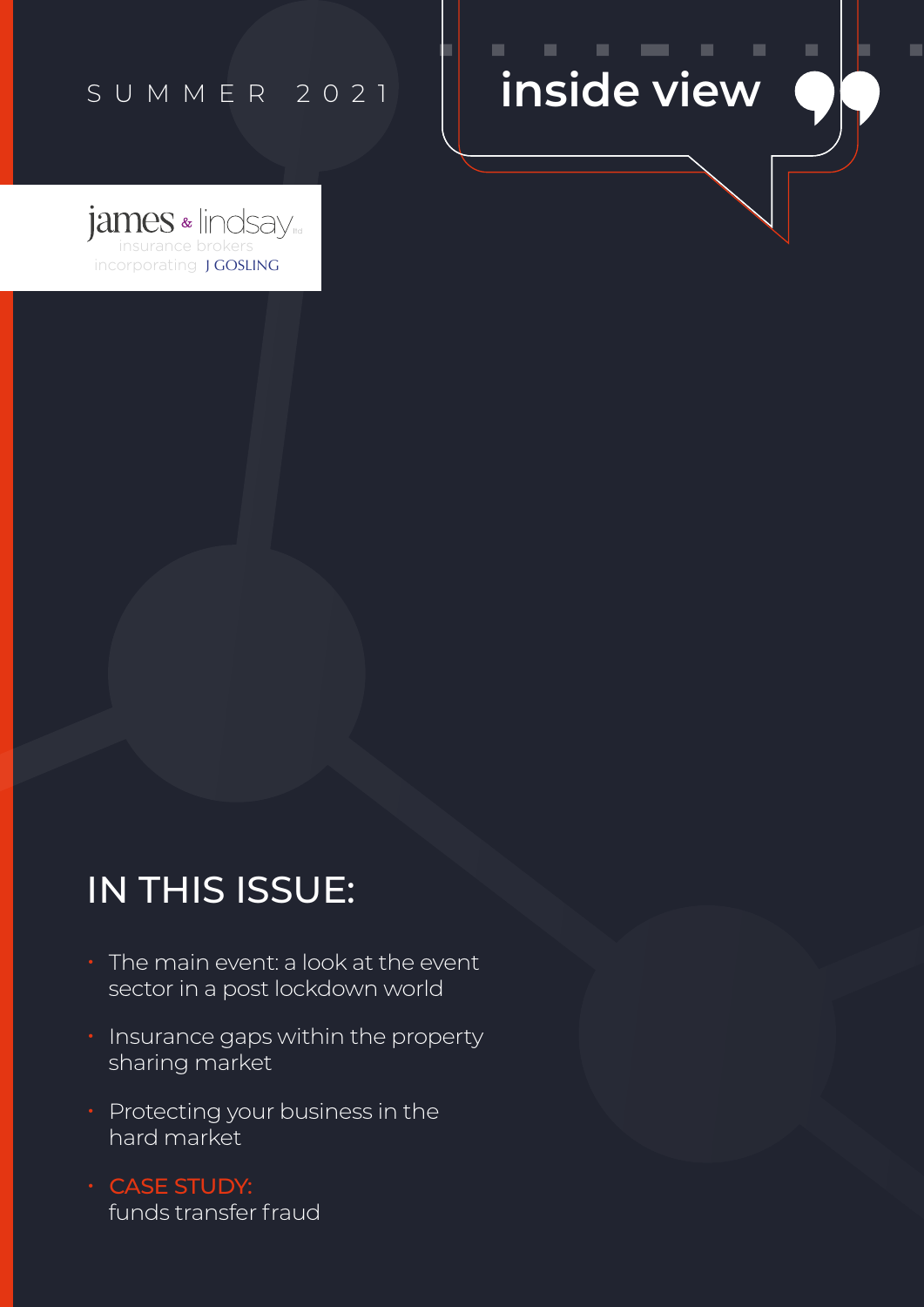### SUMMER 2021



 $\mathsf{james} \ast \mathsf{lindsay}_{\scriptscriptstyle{\mathsf{ind}}}$ insurance brokers incorporating J GOSLING

### IN THIS ISSUE:

- The main event: a look at the event sector in a post lockdown world
- Insurance gaps within the property sharing market
- Protecting your business in the hard market
- CASE STUDY: funds transfer fraud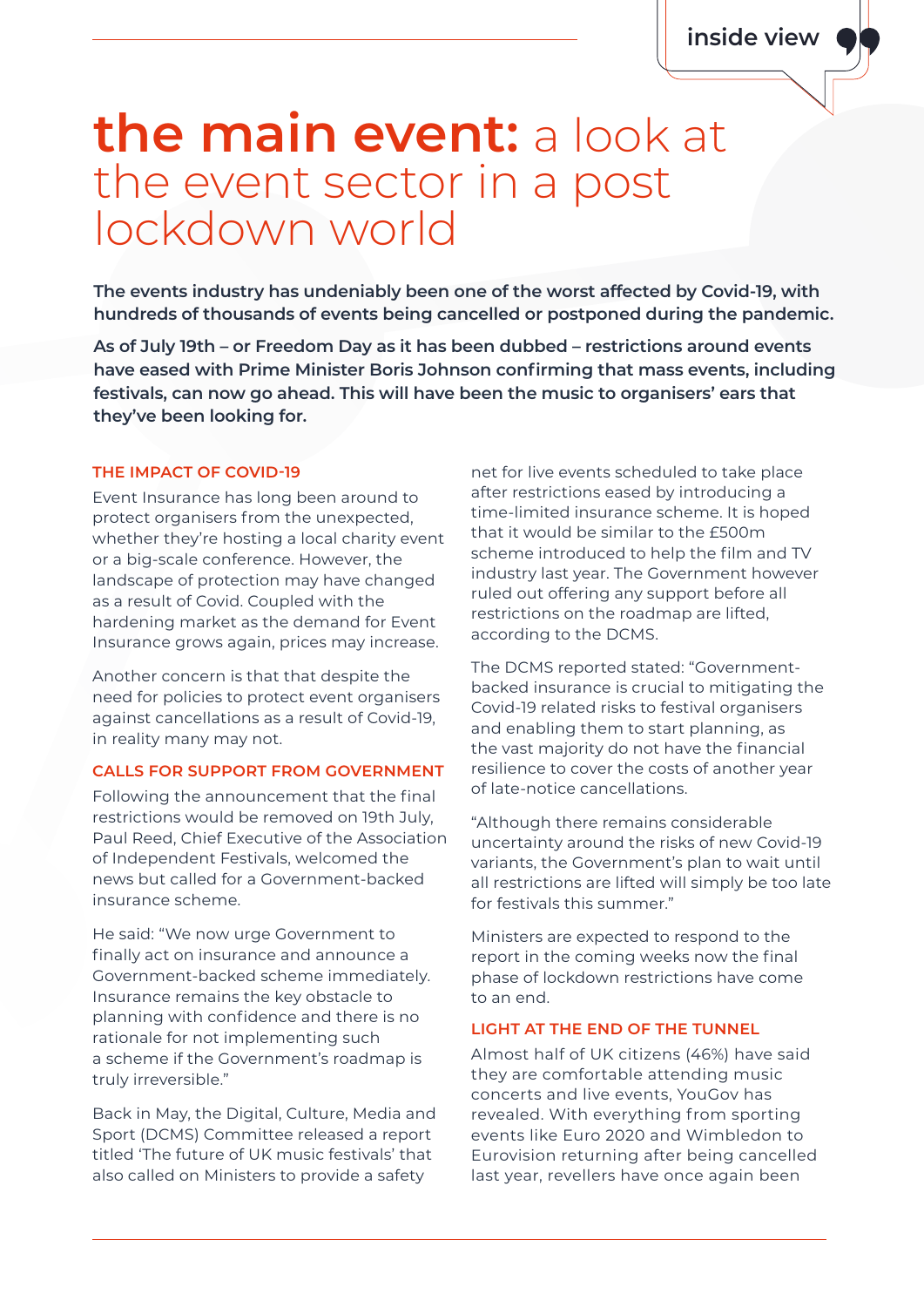# **the main event:** a look at the event sector in a post lockdown world

**The events industry has undeniably been one of the worst affected by Covid-19, with hundreds of thousands of events being cancelled or postponed during the pandemic.** 

**As of July 19th – or Freedom Day as it has been dubbed – restrictions around events have eased with Prime Minister Boris Johnson confirming that mass events, including festivals, can now go ahead. This will have been the music to organisers' ears that they've been looking for.** 

#### **THE IMPACT OF COVID-19**

Event Insurance has long been around to protect organisers from the unexpected, whether they're hosting a local charity event or a big-scale conference. However, the landscape of protection may have changed as a result of Covid. Coupled with the hardening market as the demand for Event Insurance grows again, prices may increase.

Another concern is that that despite the need for policies to protect event organisers against cancellations as a result of Covid-19, in reality many may not.

#### **CALLS FOR SUPPORT FROM GOVERNMENT**

Following the announcement that the final restrictions would be removed on 19th July, Paul Reed, Chief Executive of the Association of Independent Festivals, welcomed the news but called for a Government-backed insurance scheme.

He said: "We now urge Government to finally act on insurance and announce a Government-backed scheme immediately. Insurance remains the key obstacle to planning with confidence and there is no rationale for not implementing such a scheme if the Government's roadmap is truly irreversible."

Back in May, the Digital, Culture, Media and Sport (DCMS) Committee released a report titled 'The future of UK music festivals' that also called on Ministers to provide a safety

net for live events scheduled to take place after restrictions eased by introducing a time-limited insurance scheme. It is hoped that it would be similar to the £500m scheme introduced to help the film and TV industry last year. The Government however ruled out offering any support before all restrictions on the roadmap are lifted, according to the DCMS.

The DCMS reported stated: "Governmentbacked insurance is crucial to mitigating the Covid-19 related risks to festival organisers and enabling them to start planning, as the vast majority do not have the financial resilience to cover the costs of another year of late-notice cancellations.

"Although there remains considerable uncertainty around the risks of new Covid-19 variants, the Government's plan to wait until all restrictions are lifted will simply be too late for festivals this summer."

Ministers are expected to respond to the report in the coming weeks now the final phase of lockdown restrictions have come to an end.

#### **LIGHT AT THE END OF THE TUNNEL**

Almost half of UK citizens (46%) have said they are comfortable attending music concerts and live events, YouGov has revealed. With everything from sporting events like Euro 2020 and Wimbledon to Eurovision returning after being cancelled last year, revellers have once again been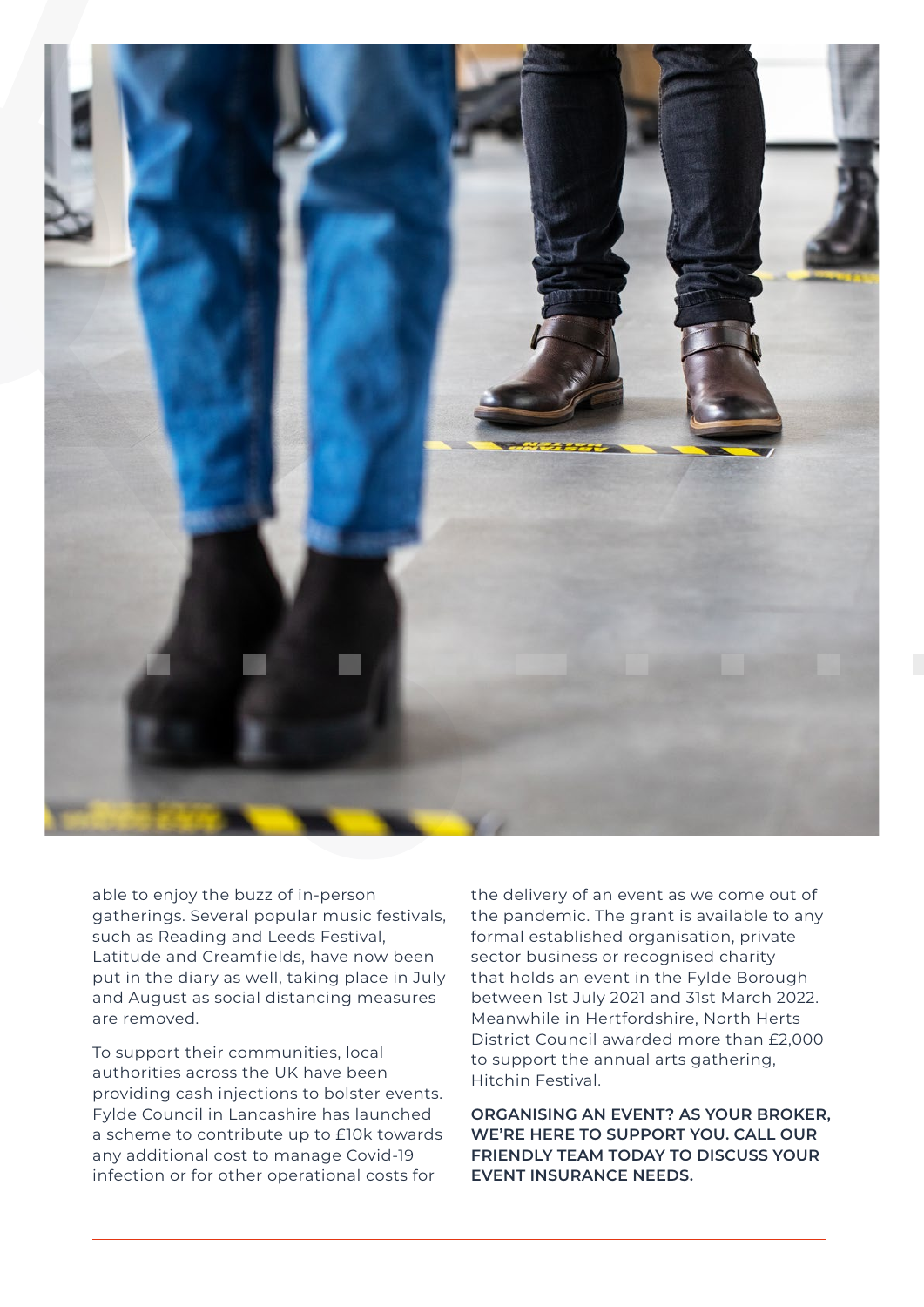

able to enjoy the buzz of in-person gatherings. Several popular music festivals, such as Reading and Leeds Festival, Latitude and Creamfields, have now been put in the diary as well, taking place in July and August as social distancing measures are removed.

To support their communities, local authorities across the UK have been providing cash injections to bolster events. Fylde Council in Lancashire has launched a scheme to contribute up to £10k towards any additional cost to manage Covid-19 infection or for other operational costs for

the delivery of an event as we come out of the pandemic. The grant is available to any formal established organisation, private sector business or recognised charity that holds an event in the Fylde Borough between 1st July 2021 and 31st March 2022. Meanwhile in Hertfordshire, North Herts District Council awarded more than £2,000 to support the annual arts gathering, Hitchin Festival.

**ORGANISING AN EVENT? AS YOUR BROKER, WE'RE HERE TO SUPPORT YOU. CALL OUR FRIENDLY TEAM TODAY TO DISCUSS YOUR EVENT INSURANCE NEEDS.**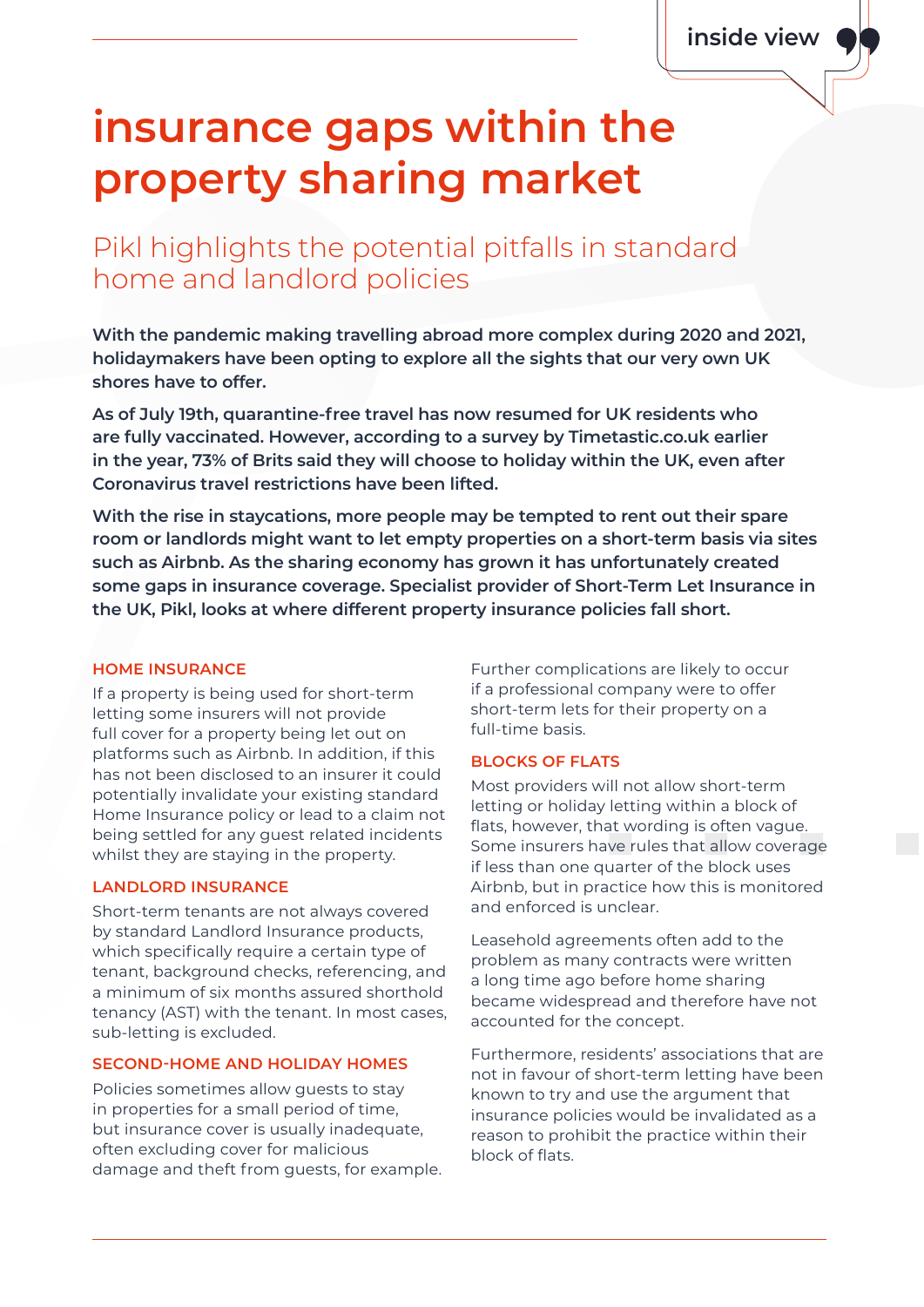# **insurance gaps within the property sharing market**

### Pikl highlights the potential pitfalls in standard home and landlord policies

**With the pandemic making travelling abroad more complex during 2020 and 2021, holidaymakers have been opting to explore all the sights that our very own UK shores have to offer.** 

**As of July 19th, quarantine-free travel has now resumed for UK residents who are fully vaccinated. However, according to a survey by Timetastic.co.uk earlier in the year, 73% of Brits said they will choose to holiday within the UK, even after Coronavirus travel restrictions have been lifted.** 

**With the rise in staycations, more people may be tempted to rent out their spare room or landlords might want to let empty properties on a short-term basis via sites such as Airbnb. As the sharing economy has grown it has unfortunately created some gaps in insurance coverage. Specialist provider of Short-Term Let Insurance in the UK, Pikl, looks at where different property insurance policies fall short.** 

#### **HOME INSURANCE**

If a property is being used for short-term letting some insurers will not provide full cover for a property being let out on platforms such as Airbnb. In addition, if this has not been disclosed to an insurer it could potentially invalidate your existing standard Home Insurance policy or lead to a claim not being settled for any guest related incidents whilst they are staying in the property.

#### **LANDLORD INSURANCE**

Short-term tenants are not always covered by standard Landlord Insurance products, which specifically require a certain type of tenant, background checks, referencing, and a minimum of six months assured shorthold tenancy (AST) with the tenant. In most cases, sub-letting is excluded.

#### **SECOND-HOME AND HOLIDAY HOMES**

Policies sometimes allow guests to stay in properties for a small period of time, but insurance cover is usually inadequate, often excluding cover for malicious damage and theft from guests, for example. Further complications are likely to occur if a professional company were to offer short-term lets for their property on a full-time basis.

#### **BLOCKS OF FLATS**

Most providers will not allow short-term letting or holiday letting within a block of flats, however, that wording is often vague. Some insurers have rules that allow coverage if less than one quarter of the block uses Airbnb, but in practice how this is monitored and enforced is unclear.

Leasehold agreements often add to the problem as many contracts were written a long time ago before home sharing became widespread and therefore have not accounted for the concept.

Furthermore, residents' associations that are not in favour of short-term letting have been known to try and use the argument that insurance policies would be invalidated as a reason to prohibit the practice within their block of flats.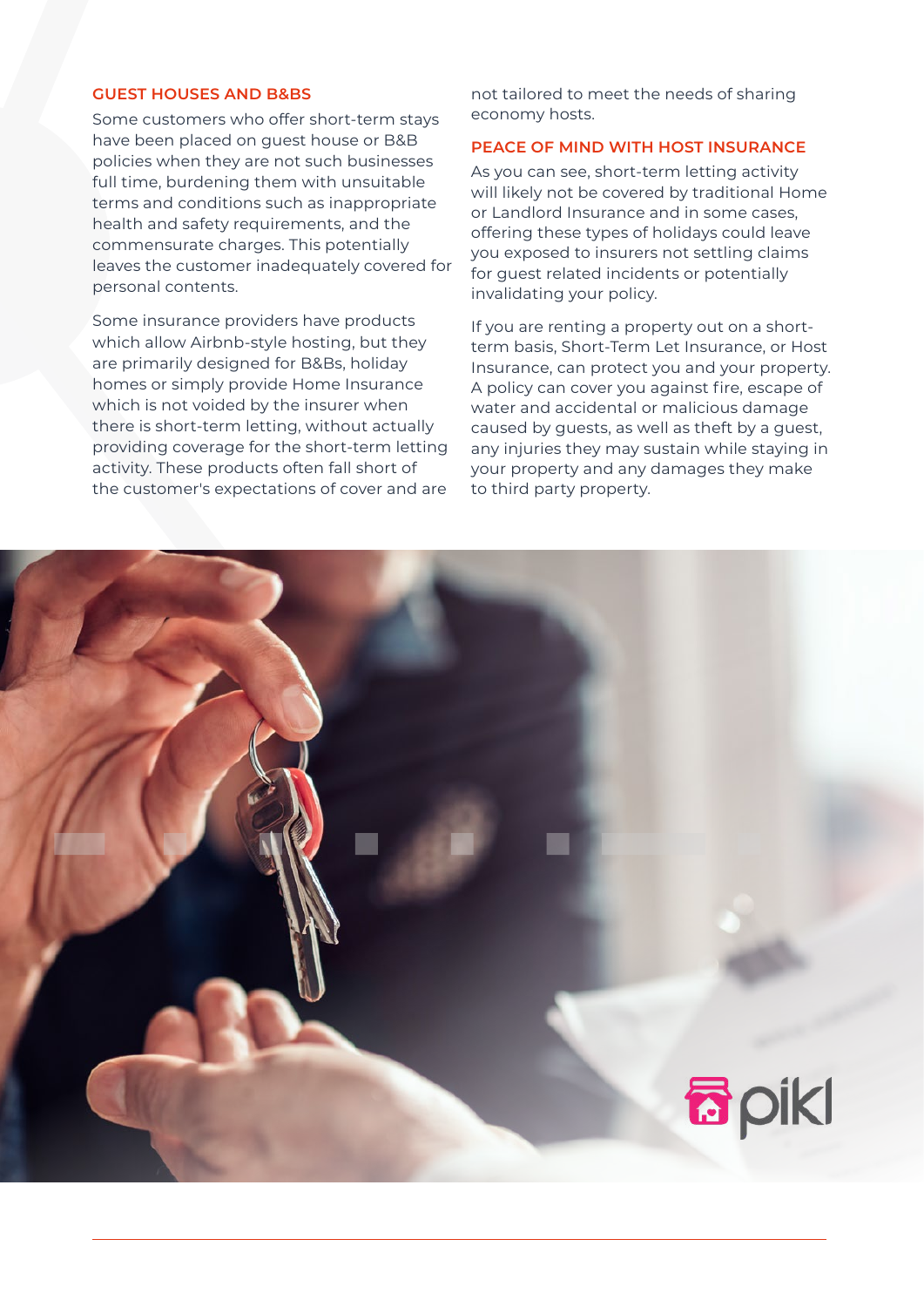#### **GUEST HOUSES AND B&BS**

Some customers who offer short-term stays have been placed on guest house or B&B policies when they are not such businesses full time, burdening them with unsuitable terms and conditions such as inappropriate health and safety requirements, and the commensurate charges. This potentially leaves the customer inadequately covered for personal contents.

Some insurance providers have products which allow Airbnb-style hosting, but they are primarily designed for B&Bs, holiday homes or simply provide Home Insurance which is not voided by the insurer when there is short-term letting, without actually providing coverage for the short-term letting activity. These products often fall short of the customer's expectations of cover and are not tailored to meet the needs of sharing economy hosts.

#### **PEACE OF MIND WITH HOST INSURANCE**

As you can see, short-term letting activity will likely not be covered by traditional Home or Landlord Insurance and in some cases, offering these types of holidays could leave you exposed to insurers not settling claims for guest related incidents or potentially invalidating your policy.

If you are renting a property out on a shortterm basis, Short-Term Let Insurance, or Host Insurance, can protect you and your property. A policy can cover you against fire, escape of water and accidental or malicious damage caused by guests, as well as theft by a guest, any injuries they may sustain while staying in your property and any damages they make to third party property.

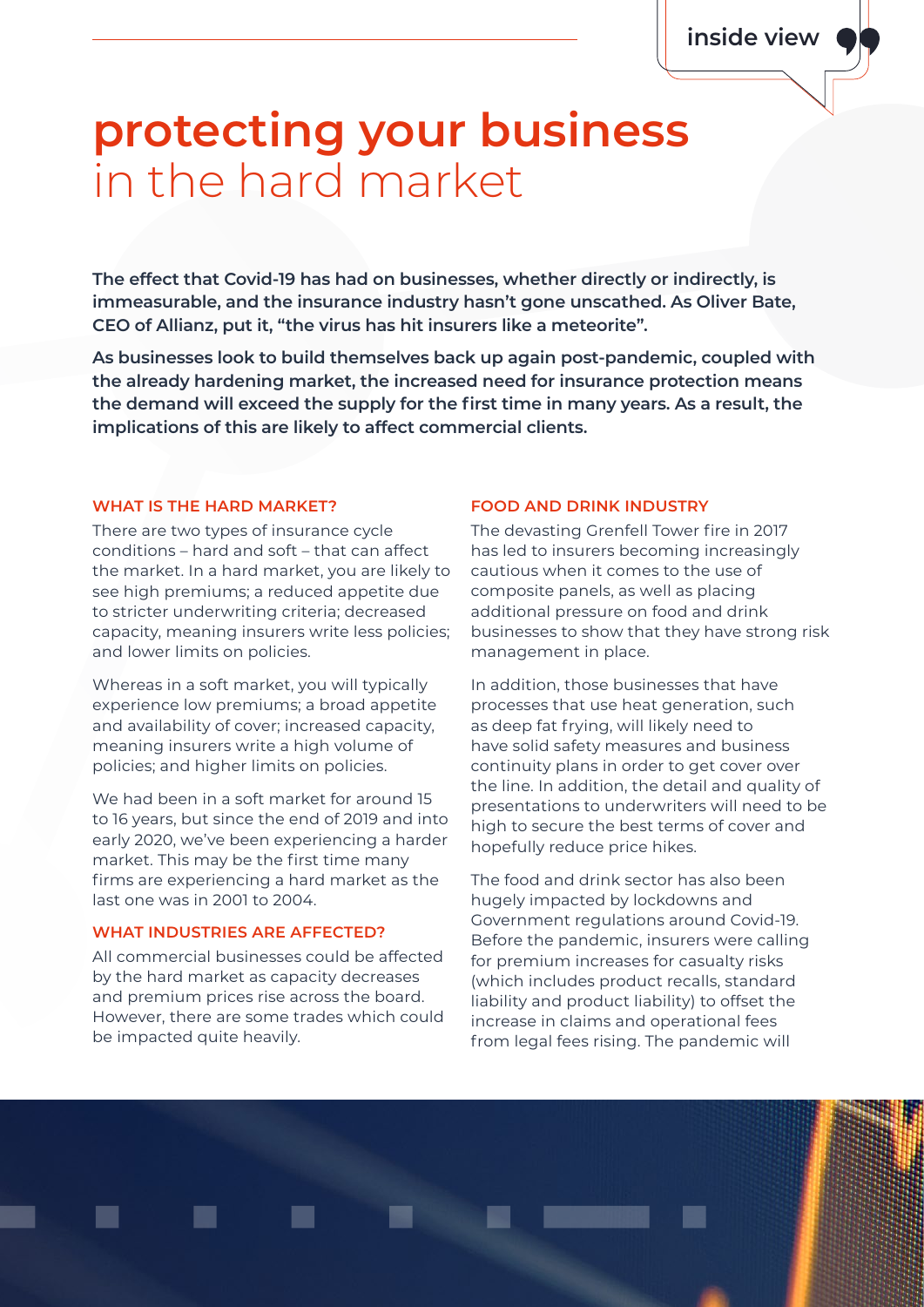# **protecting your business**  in the hard market

**The effect that Covid-19 has had on businesses, whether directly or indirectly, is immeasurable, and the insurance industry hasn't gone unscathed. As Oliver Bate, CEO of Allianz, put it, "the virus has hit insurers like a meteorite".** 

**As businesses look to build themselves back up again post-pandemic, coupled with the already hardening market, the increased need for insurance protection means the demand will exceed the supply for the first time in many years. As a result, the implications of this are likely to affect commercial clients.** 

#### **WHAT IS THE HARD MARKET?**

There are two types of insurance cycle conditions – hard and soft – that can affect the market. In a hard market, you are likely to see high premiums; a reduced appetite due to stricter underwriting criteria; decreased capacity, meaning insurers write less policies; and lower limits on policies.

Whereas in a soft market, you will typically experience low premiums; a broad appetite and availability of cover; increased capacity, meaning insurers write a high volume of policies; and higher limits on policies.

We had been in a soft market for around 15 to 16 years, but since the end of 2019 and into early 2020, we've been experiencing a harder market. This may be the first time many firms are experiencing a hard market as the last one was in 2001 to 2004.

#### **WHAT INDUSTRIES ARE AFFECTED?**

All commercial businesses could be affected by the hard market as capacity decreases and premium prices rise across the board. However, there are some trades which could be impacted quite heavily.

#### **FOOD AND DRINK INDUSTRY**

The devasting Grenfell Tower fire in 2017 has led to insurers becoming increasingly cautious when it comes to the use of composite panels, as well as placing additional pressure on food and drink businesses to show that they have strong risk management in place.

In addition, those businesses that have processes that use heat generation, such as deep fat frying, will likely need to have solid safety measures and business continuity plans in order to get cover over the line. In addition, the detail and quality of presentations to underwriters will need to be high to secure the best terms of cover and hopefully reduce price hikes.

The food and drink sector has also been hugely impacted by lockdowns and Government regulations around Covid-19. Before the pandemic, insurers were calling for premium increases for casualty risks (which includes product recalls, standard liability and product liability) to offset the increase in claims and operational fees from legal fees rising. The pandemic will

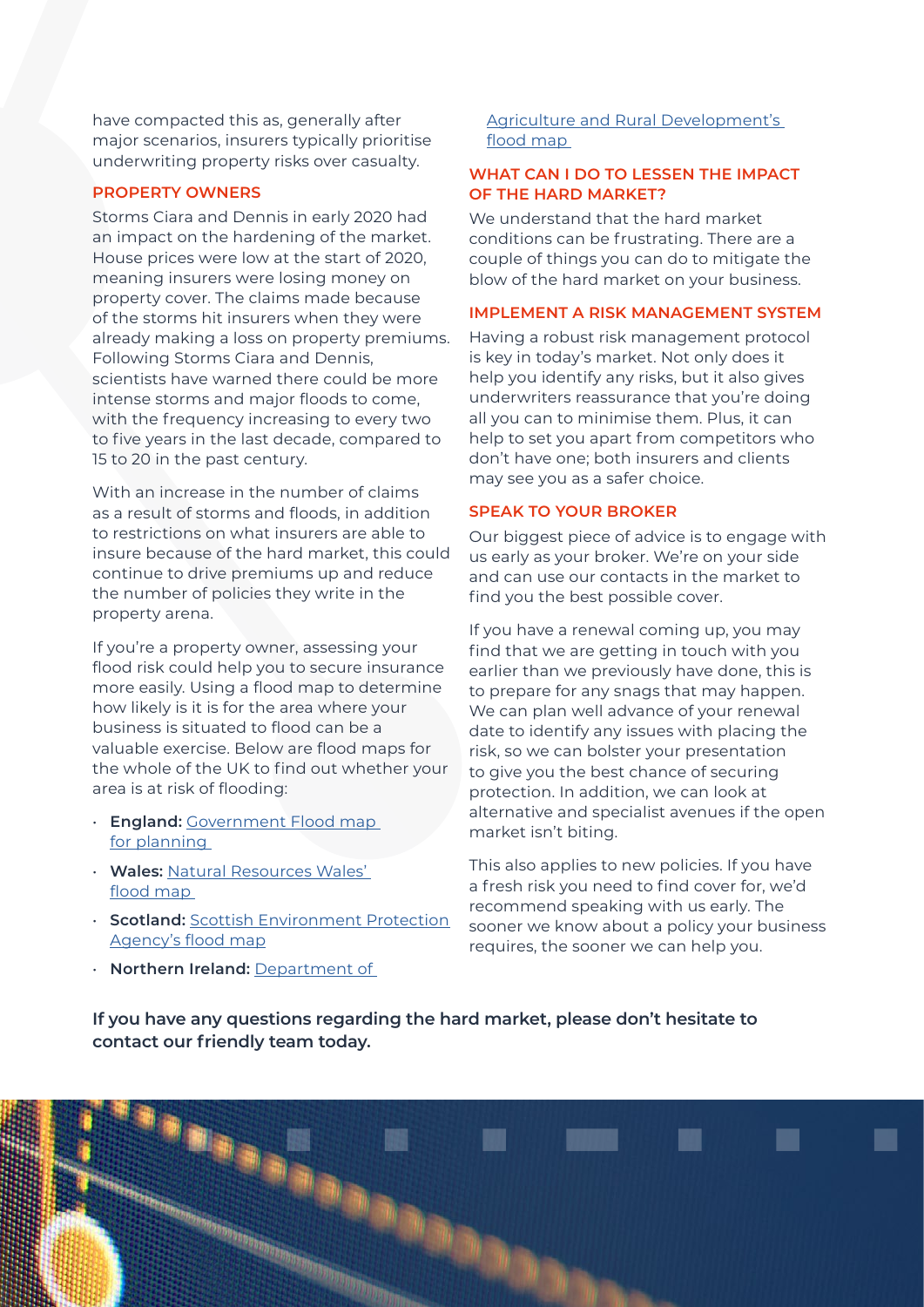have compacted this as, generally after major scenarios, insurers typically prioritise underwriting property risks over casualty.

#### **PROPERTY OWNERS**

Storms Ciara and Dennis in early 2020 had an impact on the hardening of the market. House prices were low at the start of 2020, meaning insurers were losing money on property cover. The claims made because of the storms hit insurers when they were already making a loss on property premiums. Following Storms Ciara and Dennis, scientists have warned there could be more intense storms and major floods to come, with the frequency increasing to every two to five years in the last decade, compared to 15 to 20 in the past century.

With an increase in the number of claims as a result of storms and floods, in addition to restrictions on what insurers are able to insure because of the hard market, this could continue to drive premiums up and reduce the number of policies they write in the property arena.

If you're a property owner, assessing your flood risk could help you to secure insurance more easily. Using a flood map to determine how likely is it is for the area where your business is situated to flood can be a valuable exercise. Below are flood maps for the whole of the UK to find out whether your area is at risk of flooding:

- **England:** [Government Flood map](https://flood-map-for-planning.service.gov.uk/)  [for planning](https://flood-map-for-planning.service.gov.uk/)
- **Wales:** [Natural Resources Wales'](https://naturalresources.wales/flooding/)  flood map
- **Scotland:** [Scottish Environment Protection](http://map.sepa.org.uk/floodmap/map.htm)  [Agency's flood map](http://map.sepa.org.uk/floodmap/map.htm)
- **Northern Ireland:** [Department of](https://www.nidirect.gov.uk/articles/check-the-risk-of-flooding-in-your-area)

[Agriculture and Rural Development's](https://www.nidirect.gov.uk/articles/check-the-risk-of-flooding-in-your-area)  [flood map](https://www.nidirect.gov.uk/articles/check-the-risk-of-flooding-in-your-area) 

#### **WHAT CAN I DO TO LESSEN THE IMPACT OF THE HARD MARKET?**

We understand that the hard market conditions can be frustrating. There are a couple of things you can do to mitigate the blow of the hard market on your business.

#### **IMPLEMENT A RISK MANAGEMENT SYSTEM**

Having a robust risk management protocol is key in today's market. Not only does it help you identify any risks, but it also gives underwriters reassurance that you're doing all you can to minimise them. Plus, it can help to set you apart from competitors who don't have one; both insurers and clients may see you as a safer choice.

#### **SPEAK TO YOUR BROKER**

Our biggest piece of advice is to engage with us early as your broker. We're on your side and can use our contacts in the market to find you the best possible cover.

If you have a renewal coming up, you may find that we are getting in touch with you earlier than we previously have done, this is to prepare for any snags that may happen. We can plan well advance of your renewal date to identify any issues with placing the risk, so we can bolster your presentation to give you the best chance of securing protection. In addition, we can look at alternative and specialist avenues if the open market isn't biting.

This also applies to new policies. If you have a fresh risk you need to find cover for, we'd recommend speaking with us early. The sooner we know about a policy your business requires, the sooner we can help you.

**If you have any questions regarding the hard market, please don't hesitate to contact our friendly team today.**

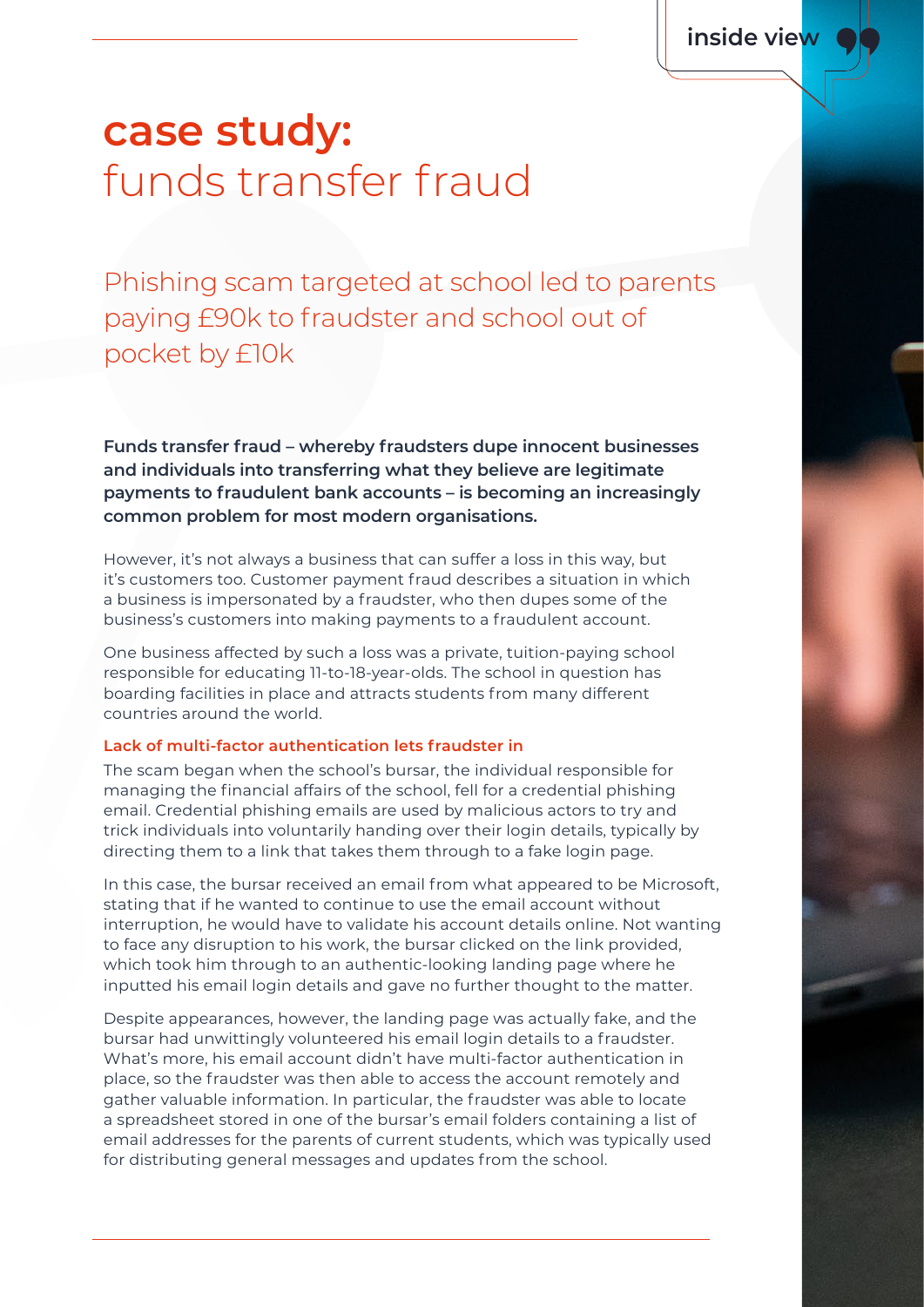### **case study:**  funds transfer fraud

Phishing scam targeted at school led to parents paying £90k to fraudster and school out of pocket by £10k

**Funds transfer fraud – whereby fraudsters dupe innocent businesses and individuals into transferring what they believe are legitimate payments to fraudulent bank accounts – is becoming an increasingly common problem for most modern organisations.**

However, it's not always a business that can suffer a loss in this way, but it's customers too. Customer payment fraud describes a situation in which a business is impersonated by a fraudster, who then dupes some of the business's customers into making payments to a fraudulent account.

One business affected by such a loss was a private, tuition-paying school responsible for educating 11-to-18-year-olds. The school in question has boarding facilities in place and attracts students from many different countries around the world.

#### **Lack of multi-factor authentication lets fraudster in**

The scam began when the school's bursar, the individual responsible for managing the financial affairs of the school, fell for a credential phishing email. Credential phishing emails are used by malicious actors to try and trick individuals into voluntarily handing over their login details, typically by directing them to a link that takes them through to a fake login page.

In this case, the bursar received an email from what appeared to be Microsoft, stating that if he wanted to continue to use the email account without interruption, he would have to validate his account details online. Not wanting to face any disruption to his work, the bursar clicked on the link provided, which took him through to an authentic-looking landing page where he inputted his email login details and gave no further thought to the matter.

Despite appearances, however, the landing page was actually fake, and the bursar had unwittingly volunteered his email login details to a fraudster. What's more, his email account didn't have multi-factor authentication in place, so the fraudster was then able to access the account remotely and gather valuable information. In particular, the fraudster was able to locate a spreadsheet stored in one of the bursar's email folders containing a list of email addresses for the parents of current students, which was typically used for distributing general messages and updates from the school.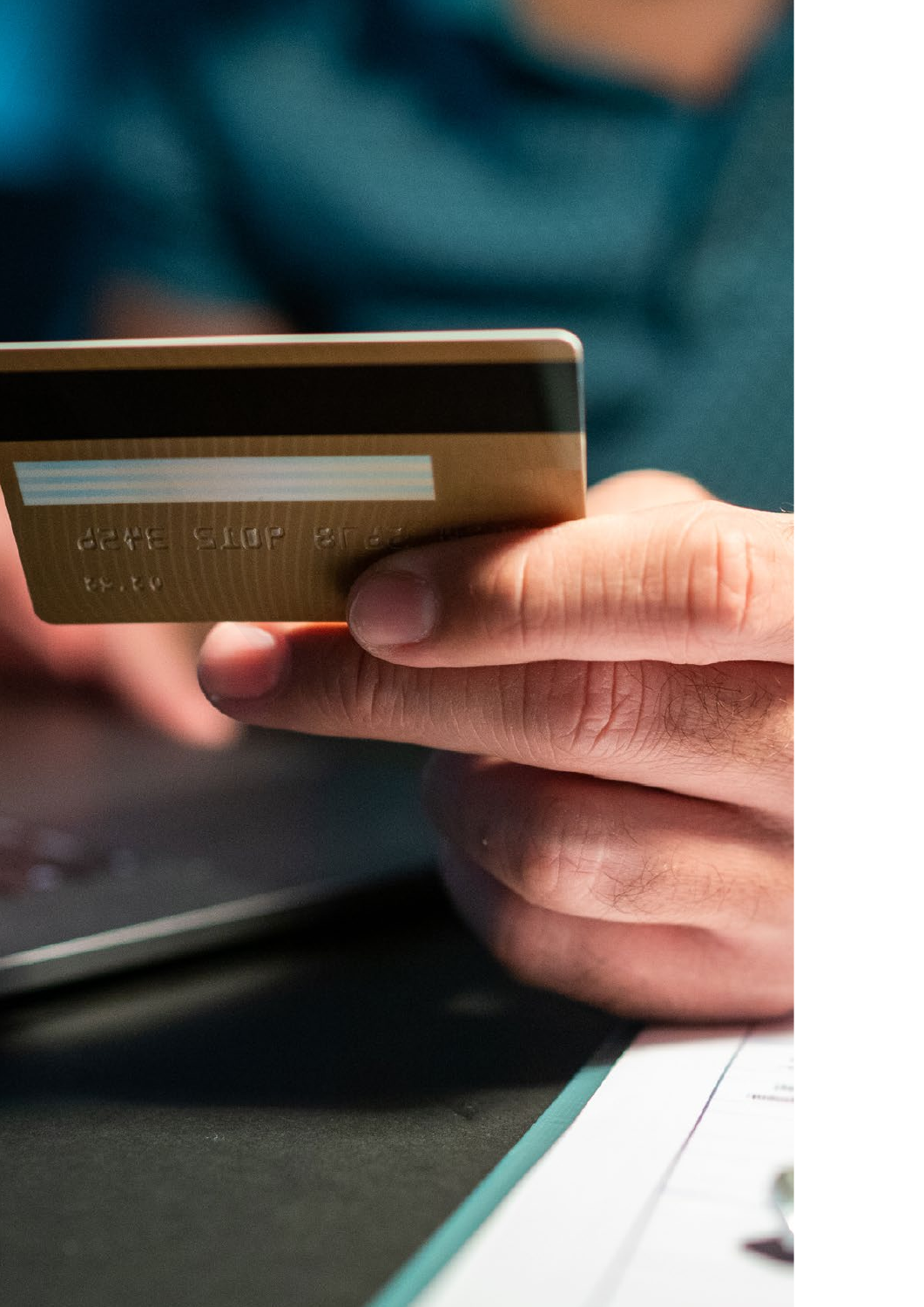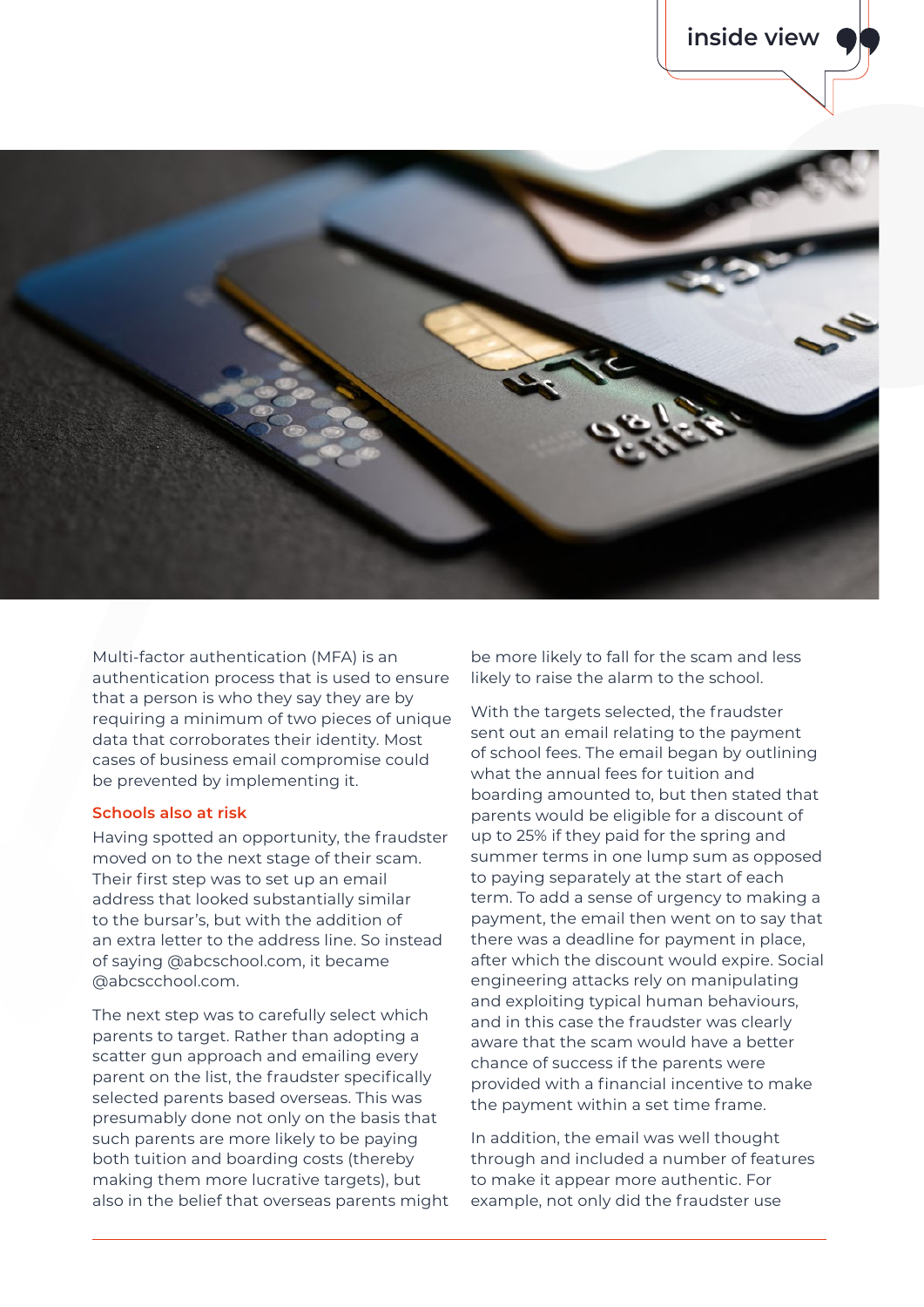

Multi-factor authentication (MFA) is an authentication process that is used to ensure that a person is who they say they are by requiring a minimum of two pieces of unique data that corroborates their identity. Most cases of business email compromise could be prevented by implementing it.

#### **Schools also at risk**

Having spotted an opportunity, the fraudster moved on to the next stage of their scam. Their first step was to set up an email address that looked substantially similar to the bursar's, but with the addition of an extra letter to the address line. So instead of saying @abcschool.com, it became @abcscchool.com.

The next step was to carefully select which parents to target. Rather than adopting a scatter gun approach and emailing every parent on the list, the fraudster specifically selected parents based overseas. This was presumably done not only on the basis that such parents are more likely to be paying both tuition and boarding costs (thereby making them more lucrative targets), but also in the belief that overseas parents might

be more likely to fall for the scam and less likely to raise the alarm to the school.

With the targets selected, the fraudster sent out an email relating to the payment of school fees. The email began by outlining what the annual fees for tuition and boarding amounted to, but then stated that parents would be eligible for a discount of up to 25% if they paid for the spring and summer terms in one lump sum as opposed to paying separately at the start of each term. To add a sense of urgency to making a payment, the email then went on to say that there was a deadline for payment in place, after which the discount would expire. Social engineering attacks rely on manipulating and exploiting typical human behaviours, and in this case the fraudster was clearly aware that the scam would have a better chance of success if the parents were provided with a financial incentive to make the payment within a set time frame.

In addition, the email was well thought through and included a number of features to make it appear more authentic. For example, not only did the fraudster use